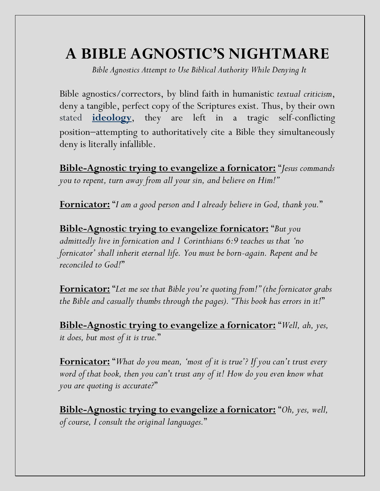## **A BIBLE AGNOSTIC'S NIGHTMARE**

*Bible Agnostics Attempt to Use Biblical Authority While Denying It*

Bible agnostics/correctors, by blind faith in humanistic *textual criticism*, deny a tangible, perfect copy of the Scriptures exist. Thus, by their own stated **[ideology](https://a95c5b23-d625-4e6c-9e1c-538856043e7e.filesusr.com/ugd/99ecd9_e90db1e3ef1a47608dc9a238a04b2a56.pdf)**, they are left in a tragic self-conflicting position−attempting to authoritatively cite a Bible they simultaneously deny is literally infallible.

**Bible-Agnostic trying to evangelize a fornicator:** "*Jesus commands you to repent, turn away from all your sin, and believe on Him!"*

**Fornicator:** "*I am a good person and I already believe in God, thank you.*"

**Bible-Agnostic trying to evangelize fornicator:** "*But you admittedly live in fornication and 1 Corinthians 6:9 teaches us that 'no fornicator' shall inherit eternal life. You must be born-again. Repent and be reconciled to God!*"

**Fornicator:** "*Let me see that Bible you're quoting from!" (the fornicator grabs the Bible and casually thumbs through the pages). "This book has errors in it!*"

**Bible-Agnostic trying to evangelize a fornicator:** "*Well, ah, yes, it does, but most of it is true.*"

**Fornicator:** "*What do you mean, 'most of it is true'? If you can't trust every word of that book, then you can't trust any of it! How do you even know what you are quoting is accurate?*"

**Bible-Agnostic trying to evangelize a fornicator:** "*Oh, yes, well, of course, I consult the original languages.*"